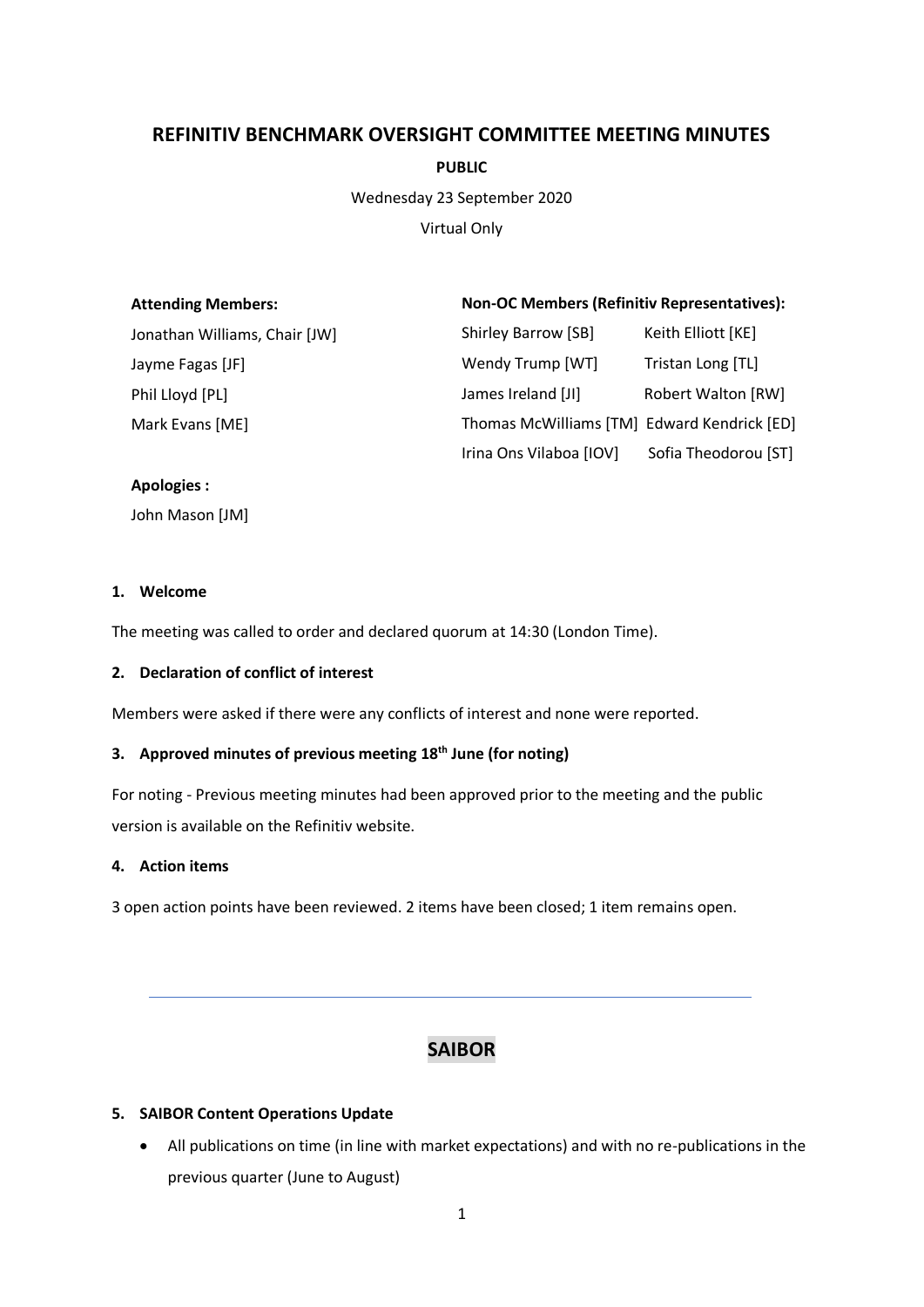# **REFINITIV BENCHMARK OVERSIGHT COMMITTEE MEETING MINUTES**

**PUBLIC**

Wednesday 23 September 2020

Virtual Only

| <b>Attending Members:</b>     | <b>Non-OC Members (Refinitiv Representatives):</b> |                           |
|-------------------------------|----------------------------------------------------|---------------------------|
| Jonathan Williams, Chair [JW] | Shirley Barrow [SB]                                | Keith Elliott [KE]        |
| Jayme Fagas [JF]              | Wendy Trump [WT]                                   | Tristan Long [TL]         |
| Phil Lloyd [PL]               | James Ireland [JI]                                 | <b>Robert Walton [RW]</b> |
| Mark Evans [ME]               | Thomas McWilliams [TM] Edward Kendrick [ED]        |                           |
|                               | Irina Ons Vilaboa [IOV]                            | Sofia Theodorou [ST]      |

#### **Apologies :**

John Mason [JM]

#### **1. Welcome**

The meeting was called to order and declared quorum at 14:30 (London Time).

#### **2. Declaration of conflict of interest**

Members were asked if there were any conflicts of interest and none were reported.

# **3. Approved minutes of previous meeting 18th June (for noting)**

For noting - Previous meeting minutes had been approved prior to the meeting and the public version is available on the Refinitiv website.

#### **4. Action items**

3 open action points have been reviewed. 2 items have been closed; 1 item remains open.

# **SAIBOR**

## **5. SAIBOR Content Operations Update**

• All publications on time (in line with market expectations) and with no re-publications in the previous quarter (June to August)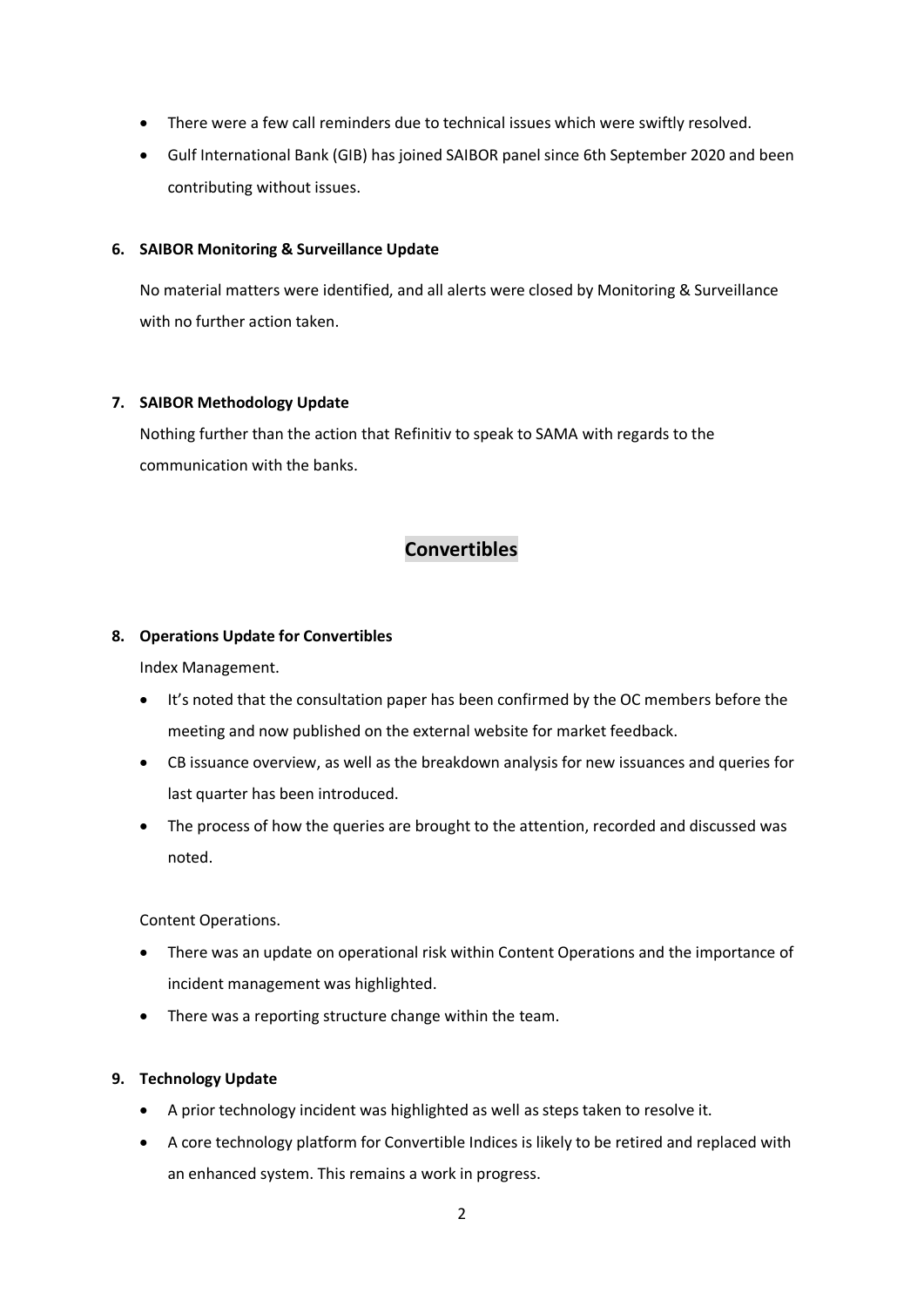- There were a few call reminders due to technical issues which were swiftly resolved.
- Gulf International Bank (GIB) has joined SAIBOR panel since 6th September 2020 and been contributing without issues.

#### **6. SAIBOR Monitoring & Surveillance Update**

No material matters were identified, and all alerts were closed by Monitoring & Surveillance with no further action taken.

#### **7. SAIBOR Methodology Update**

Nothing further than the action that Refinitiv to speak to SAMA with regards to the communication with the banks.

# **Convertibles**

## **8. Operations Update for Convertibles**

Index Management.

- It's noted that the consultation paper has been confirmed by the OC members before the meeting and now published on the external website for market feedback.
- CB issuance overview, as well as the breakdown analysis for new issuances and queries for last quarter has been introduced.
- The process of how the queries are brought to the attention, recorded and discussed was noted.

Content Operations.

- There was an update on operational risk within Content Operations and the importance of incident management was highlighted.
- There was a reporting structure change within the team.

## **9. Technology Update**

- A prior technology incident was highlighted as well as steps taken to resolve it.
- A core technology platform for Convertible Indices is likely to be retired and replaced with an enhanced system. This remains a work in progress.